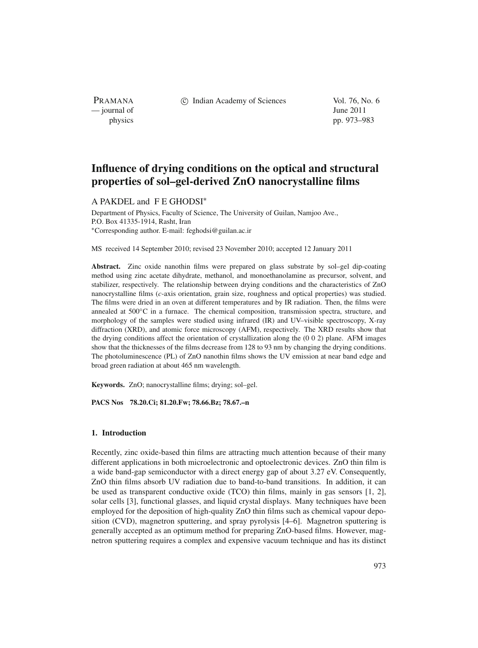PRAMANA — journal of June 2011

c Indian Academy of Sciences Vol. 76, No. 6

physics pp. 973–983

# **Influence of drying conditions on the optical and structural properties of sol–gel-derived ZnO nanocrystalline films**

## A PAKDEL and F E GHODSI<sup>∗</sup>

Department of Physics, Faculty of Science, The University of Guilan, Namjoo Ave., P.O. Box 41335-1914, Rasht, Iran <sup>∗</sup>Corresponding author. E-mail: feghodsi@guilan.ac.ir

MS received 14 September 2010; revised 23 November 2010; accepted 12 January 2011

Abstract. Zinc oxide nanothin films were prepared on glass substrate by sol-gel dip-coating method using zinc acetate dihydrate, methanol, and monoethanolamine as precursor, solvent, and stabilizer, respectively. The relationship between drying conditions and the characteristics of ZnO nanocrystalline films (*c*-axis orientation, grain size, roughness and optical properties) was studied. The films were dried in an oven at different temperatures and by IR radiation. Then, the films were annealed at 500°C in a furnace. The chemical composition, transmission spectra, structure, and morphology of the samples were studied using infrared (IR) and UV–visible spectroscopy, X-ray diffraction (XRD), and atomic force microscopy (AFM), respectively. The XRD results show that the drying conditions affect the orientation of crystallization along the (0 0 2) plane. AFM images show that the thicknesses of the films decrease from 128 to 93 nm by changing the drying conditions. The photoluminescence (PL) of ZnO nanothin films shows the UV emission at near band edge and broad green radiation at about 465 nm wavelength.

**Keywords.** ZnO; nanocrystalline films; drying; sol–gel.

**PACS Nos 78.20.Ci; 81.20.Fw; 78.66.Bz; 78.67.–n**

# **1. Introduction**

Recently, zinc oxide-based thin films are attracting much attention because of their many different applications in both microelectronic and optoelectronic devices. ZnO thin film is a wide band-gap semiconductor with a direct energy gap of about 3.27 eV. Consequently, ZnO thin films absorb UV radiation due to band-to-band transitions. In addition, it can be used as transparent conductive oxide (TCO) thin films, mainly in gas sensors [1, 2], solar cells [3], functional glasses, and liquid crystal displays. Many techniques have been employed for the deposition of high-quality ZnO thin films such as chemical vapour deposition (CVD), magnetron sputtering, and spray pyrolysis [4–6]. Magnetron sputtering is generally accepted as an optimum method for preparing ZnO-based films. However, magnetron sputtering requires a complex and expensive vacuum technique and has its distinct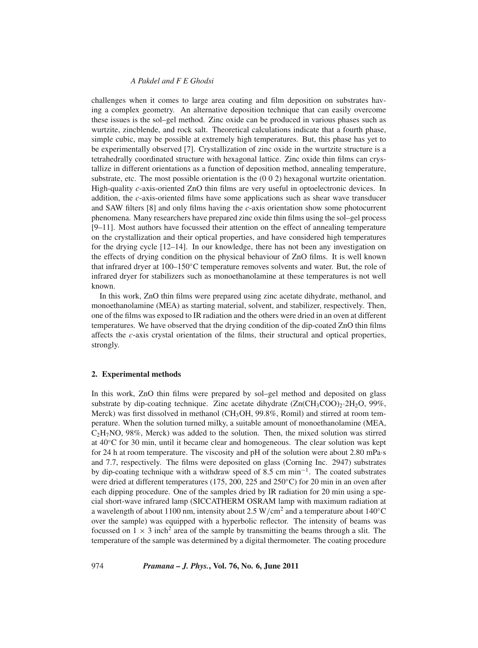challenges when it comes to large area coating and film deposition on substrates having a complex geometry. An alternative deposition technique that can easily overcome these issues is the sol–gel method. Zinc oxide can be produced in various phases such as wurtzite, zincblende, and rock salt. Theoretical calculations indicate that a fourth phase, simple cubic, may be possible at extremely high temperatures. But, this phase has yet to be experimentally observed [7]. Crystallization of zinc oxide in the wurtzite structure is a tetrahedrally coordinated structure with hexagonal lattice. Zinc oxide thin films can crystallize in different orientations as a function of deposition method, annealing temperature, substrate, etc. The most possible orientation is the (0 0 2) hexagonal wurtzite orientation. High-quality *c*-axis-oriented ZnO thin films are very useful in optoelectronic devices. In addition, the *c*-axis-oriented films have some applications such as shear wave transducer and SAW filters [8] and only films having the *c*-axis orientation show some photocurrent phenomena. Many researchers have prepared zinc oxide thin films using the sol–gel process [9–11]. Most authors have focussed their attention on the effect of annealing temperature on the crystallization and their optical properties, and have considered high temperatures for the drying cycle [12–14]. In our knowledge, there has not been any investigation on the effects of drying condition on the physical behaviour of ZnO films. It is well known that infrared dryer at 100–150◦C temperature removes solvents and water. But, the role of infrared dryer for stabilizers such as monoethanolamine at these temperatures is not well known.

In this work, ZnO thin films were prepared using zinc acetate dihydrate, methanol, and monoethanolamine (MEA) as starting material, solvent, and stabilizer, respectively. Then, one of the films was exposed to IR radiation and the others were dried in an oven at different temperatures. We have observed that the drying condition of the dip-coated ZnO thin films affects the *c*-axis crystal orientation of the films, their structural and optical properties, strongly.

#### **2. Experimental methods**

In this work, ZnO thin films were prepared by sol–gel method and deposited on glass substrate by dip-coating technique. Zinc acetate dihydrate  $(Zn(CH_3COO)_2 \cdot 2H_2O$ , 99%, Merck) was first dissolved in methanol (CH<sub>3</sub>OH, 99.8%, Romil) and stirred at room temperature. When the solution turned milky, a suitable amount of monoethanolamine (MEA,  $C_2H_7NO$ , 98%, Merck) was added to the solution. Then, the mixed solution was stirred at 40◦C for 30 min, until it became clear and homogeneous. The clear solution was kept for 24 h at room temperature. The viscosity and pH of the solution were about 2.80 mPa·s and 7.7, respectively. The films were deposited on glass (Corning Inc. 2947) substrates by dip-coating technique with a withdraw speed of 8.5 cm min<sup>−</sup>1. The coated substrates were dried at different temperatures (175, 200, 225 and 250◦C) for 20 min in an oven after each dipping procedure. One of the samples dried by IR radiation for 20 min using a special short-wave infrared lamp (SICCATHERM OSRAM lamp with maximum radiation at a wavelength of about 1100 nm, intensity about 2.5 W/cm<sup>2</sup> and a temperature about 140<sup>°</sup>C over the sample) was equipped with a hyperbolic reflector. The intensity of beams was focussed on  $1 \times 3$  inch<sup>2</sup> area of the sample by transmitting the beams through a slit. The temperature of the sample was determined by a digital thermometer. The coating procedure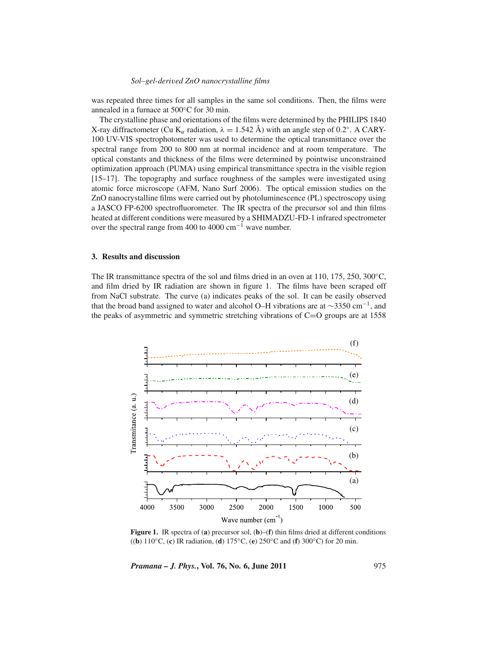was repeated three times for all samples in the same sol conditions. Then, the films were annealed in a furnace at 500◦C for 30 min.

The crystalline phase and orientations of the films were determined by the PHILIPS 1840 X-ray diffractometer (Cu K<sub>α</sub> radiation,  $\lambda = 1.542$  Å) with an angle step of 0.2°. A CARY-100 UV-VIS spectrophotometer was used to determine the optical transmittance over the spectral range from 200 to 800 nm at normal incidence and at room temperature. The optical constants and thickness of the films were determined by pointwise unconstrained optimization approach (PUMA) using empirical transmittance spectra in the visible region [15–17]. The topography and surface roughness of the samples were investigated using atomic force microscope (AFM, Nano Surf 2006). The optical emission studies on the ZnO nanocrystalline films were carried out by photoluminescence (PL) spectroscopy using a JASCO FP-6200 spectrofluorometer. The IR spectra of the precursor sol and thin films heated at different conditions were measured by a SHIMADZU-FD-1 infrared spectrometer over the spectral range from 400 to 4000 cm<sup>-1</sup> wave number.

#### **3. Results and discussion**

The IR transmittance spectra of the sol and films dried in an oven at 110, 175, 250, 300◦C, and film dried by IR radiation are shown in figure 1. The films have been scraped off from NaCl substrate. The curve (a) indicates peaks of the sol. It can be easily observed that the broad band assigned to water and alcohol O–H vibrations are at  $\sim$ 3350 cm<sup>-1</sup>, and the peaks of asymmetric and symmetric stretching vibrations of  $C=O$  groups are at 1558



**Figure 1.** IR spectra of (**a**) precursor sol, (**b**)–(**f**) thin films dried at different conditions ((**b**) 110◦C, (**c**) IR radiation, (**d**) 175◦C, (**e**) 250◦C and (**f**) 300◦C) for 20 min.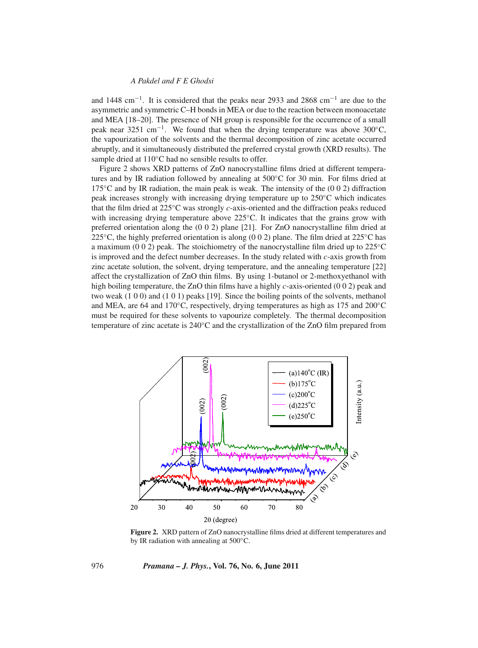and 1448 cm<sup>−</sup>1. It is considered that the peaks near 2933 and 2868 cm<sup>−</sup><sup>1</sup> are due to the asymmetric and symmetric C–H bonds in MEA or due to the reaction between monoacetate and MEA [18–20]. The presence of NH group is responsible for the occurrence of a small peak near 3251 cm<sup>-1</sup>. We found that when the drying temperature was above 300°C, the vapourization of the solvents and the thermal decomposition of zinc acetate occurred abruptly, and it simultaneously distributed the preferred crystal growth (XRD results). The sample dried at 110℃ had no sensible results to offer.

Figure 2 shows XRD patterns of ZnO nanocrystalline films dried at different temperatures and by IR radiation followed by annealing at 500◦C for 30 min. For films dried at 175 $°C$  and by IR radiation, the main peak is weak. The intensity of the (0 0 2) diffraction peak increases strongly with increasing drying temperature up to 250◦C which indicates that the film dried at 225◦C was strongly *c*-axis-oriented and the diffraction peaks reduced with increasing drying temperature above 225◦C. It indicates that the grains grow with preferred orientation along the (0 0 2) plane [21]. For ZnO nanocrystalline film dried at 225<sup>°</sup>C, the highly preferred orientation is along (0 0 2) plane. The film dried at 225<sup>°</sup>C has a maximum (0 0 2) peak. The stoichiometry of the nanocrystalline film dried up to 225◦C is improved and the defect number decreases. In the study related with *c*-axis growth from zinc acetate solution, the solvent, drying temperature, and the annealing temperature [22] affect the crystallization of ZnO thin films. By using 1-butanol or 2-methoxyethanol with high boiling temperature, the ZnO thin films have a highly *c*-axis-oriented (0 0 2) peak and two weak (1 0 0) and (1 0 1) peaks [19]. Since the boiling points of the solvents, methanol and MEA, are 64 and 170◦C, respectively, drying temperatures as high as 175 and 200◦C must be required for these solvents to vapourize completely. The thermal decomposition temperature of zinc acetate is 240◦C and the crystallization of the ZnO film prepared from



**Figure 2.** XRD pattern of ZnO nanocrystalline films dried at different temperatures and by IR radiation with annealing at 500◦C.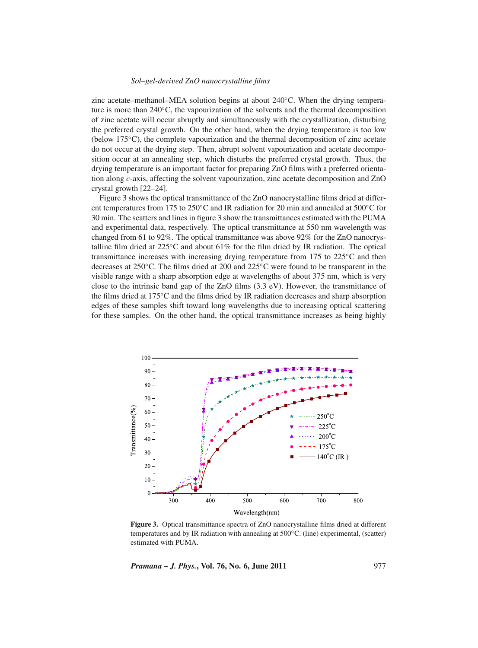zinc acetate–methanol–MEA solution begins at about 240◦C. When the drying temperature is more than 240◦C, the vapourization of the solvents and the thermal decomposition of zinc acetate will occur abruptly and simultaneously with the crystallization, disturbing the preferred crystal growth. On the other hand, when the drying temperature is too low (below 175◦C), the complete vapourization and the thermal decomposition of zinc acetate do not occur at the drying step. Then, abrupt solvent vapourization and acetate decomposition occur at an annealing step, which disturbs the preferred crystal growth. Thus, the drying temperature is an important factor for preparing ZnO films with a preferred orientation along *c*-axis, affecting the solvent vapourization, zinc acetate decomposition and ZnO crystal growth [22–24].

Figure 3 shows the optical transmittance of the ZnO nanocrystalline films dried at different temperatures from 175 to 250◦C and IR radiation for 20 min and annealed at 500◦C for 30 min. The scatters and lines in figure 3 show the transmittances estimated with the PUMA and experimental data, respectively. The optical transmittance at 550 nm wavelength was changed from 61 to 92%. The optical transmittance was above 92% for the ZnO nanocrystalline film dried at 225◦C and about 61% for the film dried by IR radiation. The optical transmittance increases with increasing drying temperature from 175 to 225◦C and then decreases at 250◦C. The films dried at 200 and 225◦C were found to be transparent in the visible range with a sharp absorption edge at wavelengths of about 375 nm, which is very close to the intrinsic band gap of the ZnO films  $(3.3 \text{ eV})$ . However, the transmittance of the films dried at 175◦C and the films dried by IR radiation decreases and sharp absorption edges of these samples shift toward long wavelengths due to increasing optical scattering for these samples. On the other hand, the optical transmittance increases as being highly



**Figure 3.** Optical transmittance spectra of ZnO nanocrystalline films dried at different temperatures and by IR radiation with annealing at  $500^{\circ}$ C. (line) experimental, (scatter) estimated with PUMA.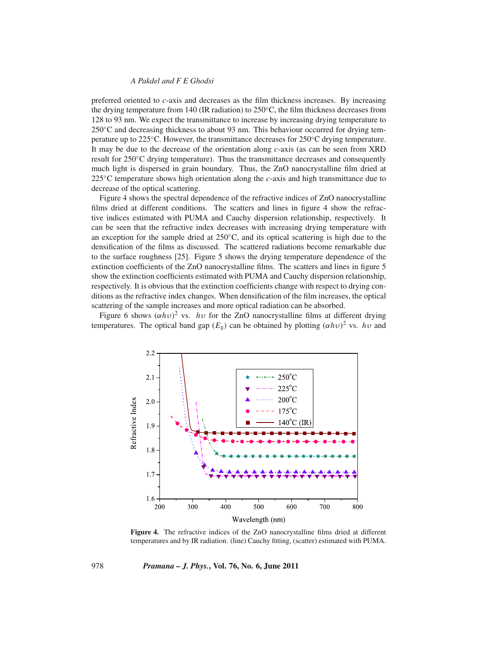preferred oriented to *c*-axis and decreases as the film thickness increases. By increasing the drying temperature from 140 (IR radiation) to 250◦C, the film thickness decreases from 128 to 93 nm. We expect the transmittance to increase by increasing drying temperature to 250◦C and decreasing thickness to about 93 nm. This behaviour occurred for drying temperature up to 225◦C. However, the transmittance decreases for 250◦C drying temperature. It may be due to the decrease of the orientation along *c*-axis (as can be seen from XRD result for 250◦C drying temperature). Thus the transmittance decreases and consequently much light is dispersed in grain boundary. Thus, the ZnO nanocrystalline film dried at 225◦C temperature shows high orientation along the *c*-axis and high transmittance due to decrease of the optical scattering.

Figure 4 shows the spectral dependence of the refractive indices of ZnO nanocrystalline films dried at different conditions. The scatters and lines in figure 4 show the refractive indices estimated with PUMA and Cauchy dispersion relationship, respectively. It can be seen that the refractive index decreases with increasing drying temperature with an exception for the sample dried at  $250^{\circ}$ C, and its optical scattering is high due to the densification of the films as discussed. The scattered radiations become remarkable due to the surface roughness [25]. Figure 5 shows the drying temperature dependence of the extinction coefficients of the ZnO nanocrystalline films. The scatters and lines in figure 5 show the extinction coefficients estimated with PUMA and Cauchy dispersion relationship, respectively. It is obvious that the extinction coefficients change with respect to drying conditions as the refractive index changes. When densification of the film increases, the optical scattering of the sample increases and more optical radiation can be absorbed.

Figure 6 shows  $(\alpha h \nu)^2$  vs. *hv* for the ZnO nanocrystalline films at different drying temperatures. The optical band gap  $(E_g)$  can be obtained by plotting  $(\alpha h \nu)^2$  vs. *hv* and



**Figure 4.** The refractive indices of the ZnO nanocrystalline films dried at different temperatures and by IR radiation. (line) Cauchy fitting, (scatter) estimated with PUMA.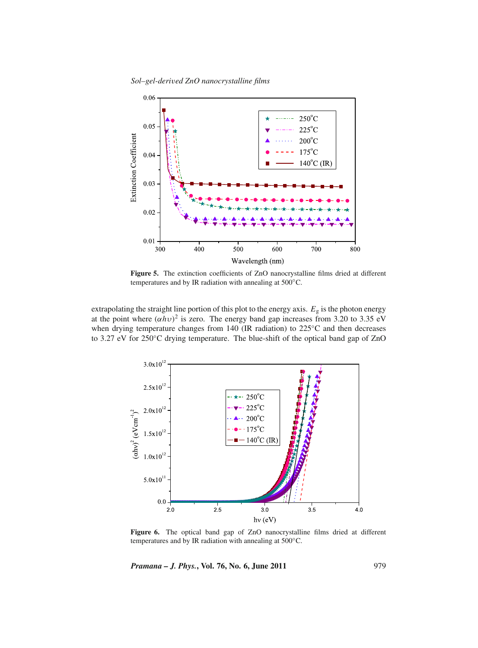

Figure 5. The extinction coefficients of ZnO nanocrystalline films dried at different temperatures and by IR radiation with annealing at 500◦C.

extrapolating the straight line portion of this plot to the energy axis.  $E<sub>g</sub>$  is the photon energy at the point where  $(\alpha h v)^2$  is zero. The energy band gap increases from 3.20 to 3.35 eV when drying temperature changes from 140 (IR radiation) to 225℃ and then decreases to 3.27 eV for 250◦C drying temperature. The blue-shift of the optical band gap of ZnO



Figure 6. The optical band gap of ZnO nanocrystalline films dried at different temperatures and by IR radiation with annealing at 500◦C.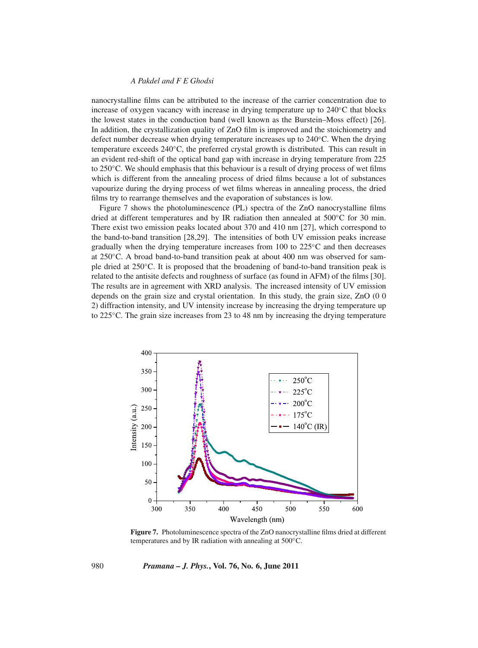nanocrystalline films can be attributed to the increase of the carrier concentration due to increase of oxygen vacancy with increase in drying temperature up to 240◦C that blocks the lowest states in the conduction band (well known as the Burstein–Moss effect) [26]. In addition, the crystallization quality of ZnO film is improved and the stoichiometry and defect number decrease when drying temperature increases up to 240◦C. When the drying temperature exceeds 240◦C, the preferred crystal growth is distributed. This can result in an evident red-shift of the optical band gap with increase in drying temperature from 225 to 250◦C. We should emphasis that this behaviour is a result of drying process of wet films which is different from the annealing process of dried films because a lot of substances vapourize during the drying process of wet films whereas in annealing process, the dried films try to rearrange themselves and the evaporation of substances is low.

Figure 7 shows the photoluminescence (PL) spectra of the ZnO nanocrystalline films dried at different temperatures and by IR radiation then annealed at 500◦C for 30 min. There exist two emission peaks located about 370 and 410 nm [27], which correspond to the band-to-band transition [28,29]. The intensities of both UV emission peaks increase gradually when the drying temperature increases from 100 to 225◦C and then decreases at 250◦C. A broad band-to-band transition peak at about 400 nm was observed for sample dried at 250◦C. It is proposed that the broadening of band-to-band transition peak is related to the antisite defects and roughness of surface (as found in AFM) of the films [30]. The results are in agreement with XRD analysis. The increased intensity of UV emission depends on the grain size and crystal orientation. In this study, the grain size, ZnO (0 0 2) diffraction intensity, and UV intensity increase by increasing the drying temperature up to 225◦C. The grain size increases from 23 to 48 nm by increasing the drying temperature



**Figure 7.** Photoluminescence spectra of the ZnO nanocrystalline films dried at different temperatures and by IR radiation with annealing at 500◦C.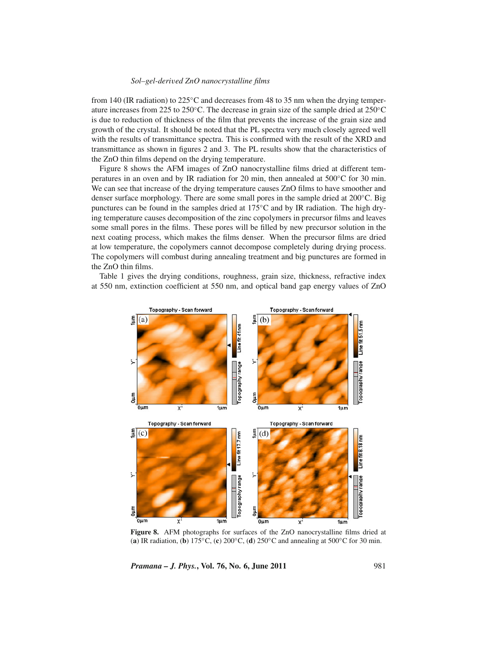from 140 (IR radiation) to  $225^{\circ}$ C and decreases from 48 to 35 nm when the drying temperature increases from 225 to 250°C. The decrease in grain size of the sample dried at  $250^{\circ}$ C is due to reduction of thickness of the film that prevents the increase of the grain size and growth of the crystal. It should be noted that the PL spectra very much closely agreed well with the results of transmittance spectra. This is confirmed with the result of the XRD and transmittance as shown in figures 2 and 3. The PL results show that the characteristics of the ZnO thin films depend on the drying temperature.

Figure 8 shows the AFM images of ZnO nanocrystalline films dried at different temperatures in an oven and by IR radiation for 20 min, then annealed at 500◦C for 30 min. We can see that increase of the drying temperature causes ZnO films to have smoother and denser surface morphology. There are some small pores in the sample dried at 200◦C. Big punctures can be found in the samples dried at 175◦C and by IR radiation. The high drying temperature causes decomposition of the zinc copolymers in precursor films and leaves some small pores in the films. These pores will be filled by new precursor solution in the next coating process, which makes the films denser. When the precursor films are dried at low temperature, the copolymers cannot decompose completely during drying process. The copolymers will combust during annealing treatment and big punctures are formed in the ZnO thin films.

Table 1 gives the drying conditions, roughness, grain size, thickness, refractive index at 550 nm, extinction coefficient at 550 nm, and optical band gap energy values of ZnO



**Figure 8.** AFM photographs for surfaces of the ZnO nanocrystalline films dried at (**a**) IR radiation, (**b**) 175◦C, (**c**) 200◦C, (**d**) 250◦C and annealing at 500◦C for 30 min.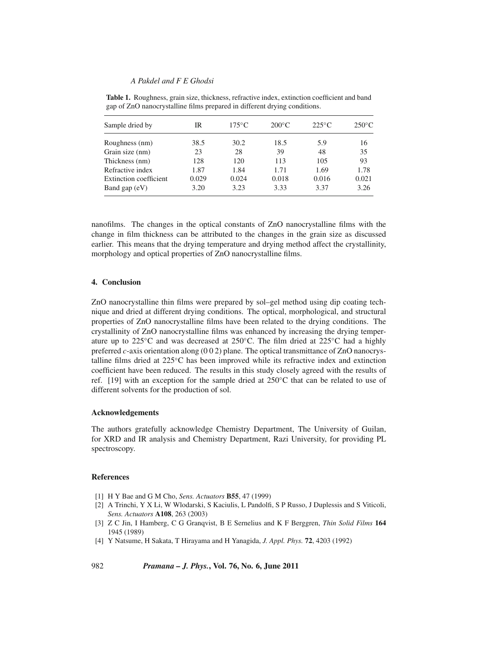| Sample dried by        | IR    | $175^{\circ}$ C | $200^{\circ}$ C | $225^{\circ}$ C | $250^{\circ}$ C |
|------------------------|-------|-----------------|-----------------|-----------------|-----------------|
|                        |       |                 |                 |                 |                 |
| Grain size (nm)        | 23    | 28              | 39              | 48              | 35              |
| Thickness (nm)         | 128   | 120             | 113             | 105             | 93              |
| Refractive index       | 1.87  | 1.84            | 1.71            | 1.69            | 1.78            |
| Extinction coefficient | 0.029 | 0.024           | 0.018           | 0.016           | 0.021           |
| Band gap $(eV)$        | 3.20  | 3.23            | 3.33            | 3.37            | 3.26            |

**Table 1.** Roughness, grain size, thickness, refractive index, extinction coefficient and band gap of ZnO nanocrystalline films prepared in different drying conditions.

nanofilms. The changes in the optical constants of ZnO nanocrystalline films with the change in film thickness can be attributed to the changes in the grain size as discussed earlier. This means that the drying temperature and drying method affect the crystallinity, morphology and optical properties of ZnO nanocrystalline films.

#### **4. Conclusion**

ZnO nanocrystalline thin films were prepared by sol–gel method using dip coating technique and dried at different drying conditions. The optical, morphological, and structural properties of ZnO nanocrystalline films have been related to the drying conditions. The crystallinity of ZnO nanocrystalline films was enhanced by increasing the drying temperature up to 225°C and was decreased at 250°C. The film dried at 225°C had a highly preferred *c*-axis orientation along (0 0 2) plane. The optical transmittance of ZnO nanocrystalline films dried at 225◦C has been improved while its refractive index and extinction coefficient have been reduced. The results in this study closely agreed with the results of ref. [19] with an exception for the sample dried at 250◦C that can be related to use of different solvents for the production of sol.

# **Acknowledgements**

The authors gratefully acknowledge Chemistry Department, The University of Guilan, for XRD and IR analysis and Chemistry Department, Razi University, for providing PL spectroscopy.

#### **References**

- [1] H Y Bae and G M Cho, *Sens. Actuators* **B55**, 47 (1999)
- [2] A Trinchi, Y X Li, W Wlodarski, S Kaciulis, L Pandolfi, S P Russo, J Duplessis and S Viticoli, *Sens. Actuators* **A108**, 263 (2003)
- [3] Z C Jin, I Hamberg, C G Granqvist, B E Sernelius and K F Berggren, *Thin Solid Films* **164** 1945 (1989)
- [4] Y Natsume, H Sakata, T Hirayama and H Yanagida, *J. Appl. Phys.* **72**, 4203 (1992)